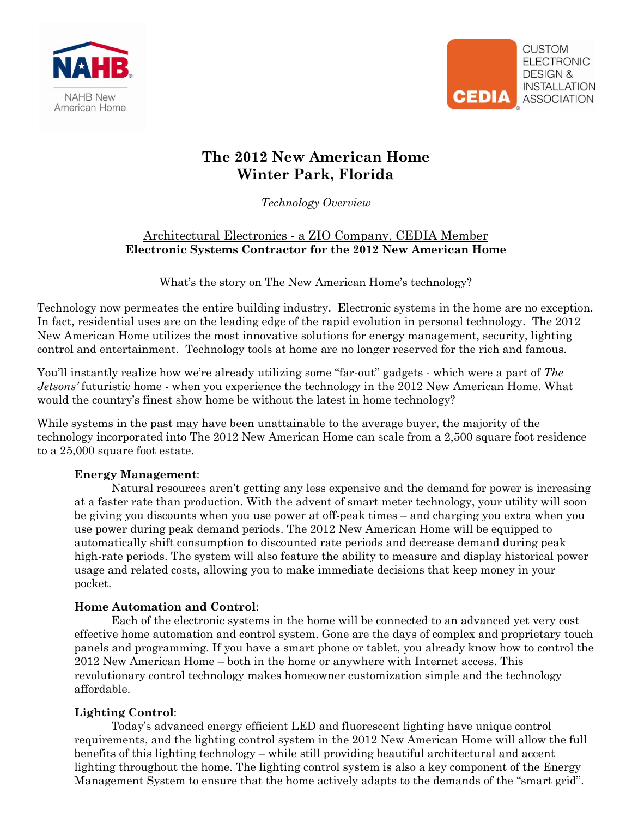



## **The 2012 New American Home Winter Park, Florida**

*Technology Overview*

### Architectural Electronics - a ZIO Company, CEDIA Member **Electronic Systems Contractor for the 2012 New American Home**

What's the story on The New American Home's technology?

Technology now permeates the entire building industry. Electronic systems in the home are no exception. In fact, residential uses are on the leading edge of the rapid evolution in personal technology. The 2012 New American Home utilizes the most innovative solutions for energy management, security, lighting control and entertainment. Technology tools at home are no longer reserved for the rich and famous.

You'll instantly realize how we're already utilizing some "far-out" gadgets - which were a part of *The Jetsons'* futuristic home - when you experience the technology in the 2012 New American Home. What would the country's finest show home be without the latest in home technology?

While systems in the past may have been unattainable to the average buyer, the majority of the technology incorporated into The 2012 New American Home can scale from a 2,500 square foot residence to a 25,000 square foot estate.

## **Energy Management**:

Natural resources aren't getting any less expensive and the demand for power is increasing at a faster rate than production. With the advent of smart meter technology, your utility will soon be giving you discounts when you use power at off-peak times – and charging you extra when you use power during peak demand periods. The 2012 New American Home will be equipped to automatically shift consumption to discounted rate periods and decrease demand during peak high-rate periods. The system will also feature the ability to measure and display historical power usage and related costs, allowing you to make immediate decisions that keep money in your pocket.

## **Home Automation and Control**:

Each of the electronic systems in the home will be connected to an advanced yet very cost effective home automation and control system. Gone are the days of complex and proprietary touch panels and programming. If you have a smart phone or tablet, you already know how to control the 2012 New American Home – both in the home or anywhere with Internet access. This revolutionary control technology makes homeowner customization simple and the technology affordable.

#### **Lighting Control**:

Today's advanced energy efficient LED and fluorescent lighting have unique control requirements, and the lighting control system in the 2012 New American Home will allow the full benefits of this lighting technology – while still providing beautiful architectural and accent lighting throughout the home. The lighting control system is also a key component of the Energy Management System to ensure that the home actively adapts to the demands of the "smart grid".